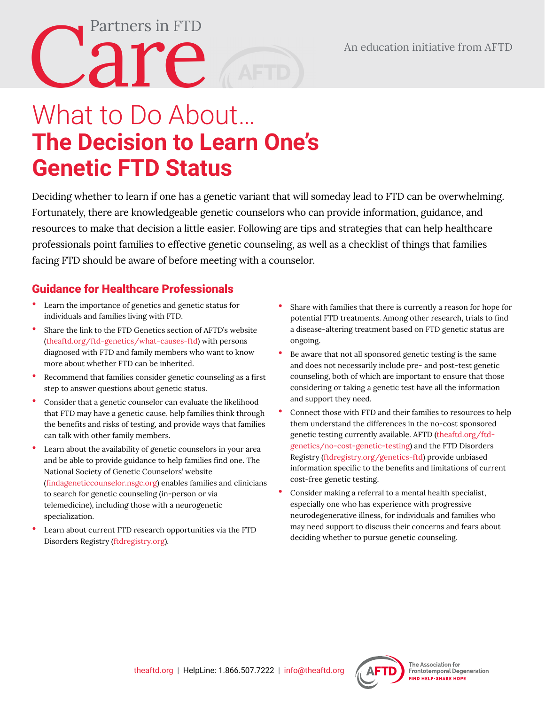## What to Do About… **The Decision to Learn One's Genetic FTD Status**

Deciding whether to learn if one has a genetic variant that will someday lead to FTD can be overwhelming. Fortunately, there are knowledgeable genetic counselors who can provide information, guidance, and resources to make that decision a little easier. Following are tips and strategies that can help healthcare professionals point families to effective genetic counseling, as well as a checklist of things that families facing FTD should be aware of before meeting with a counselor.

## Guidance for Healthcare Professionals

Partners in FTD

- Learn the importance of genetics and genetic status for individuals and families living with FTD.
- Share the link to the FTD Genetics section of AFTD's website [\(theaftd.org/ftd-genetics/what-causes-ftd](http://theaftd.org/ftd-genetics/what-causes-ftd)) with persons diagnosed with FTD and family members who want to know more about whether FTD can be inherited.
- Recommend that families consider genetic counseling as a first step to answer questions about genetic status.
- Consider that a genetic counselor can evaluate the likelihood that FTD may have a genetic cause, help families think through the benefits and risks of testing, and provide ways that families can talk with other family members.
- Learn about the availability of genetic counselors in your area and be able to provide guidance to help families find one. The National Society of Genetic Counselors' website ([findageneticcounselor.nsgc.org](https://findageneticcounselor.nsgc.org/)) enables families and clinicians to search for genetic counseling (in-person or via telemedicine), including those with a neurogenetic specialization.
- Learn about current FTD research opportunities via the FTD Disorders Registry [\(ftdregistry.org\).](www.ftdregistry.org)
- Share with families that there is currently a reason for hope for potential FTD treatments. Among other research, trials to find a disease-altering treatment based on FTD genetic status are ongoing.
- Be aware that not all sponsored genetic testing is the same and does not necessarily include pre- and post-test genetic counseling, both of which are important to ensure that those considering or taking a genetic test have all the information and support they need.
- Connect those with FTD and their families to resources to help them understand the differences in the no-cost sponsored genetic testing currently available. AFTD ([theaftd.org/ftd](http://www.theaftd.org/ftd-genetics/no-cost-genetic-testing/)[genetics/no-cost-genetic-testing\)](http://www.theaftd.org/ftd-genetics/no-cost-genetic-testing/) and the FTD Disorders Registry ([ftdregistry.org/genetics-ftd\)](http://ftdregistry.org/genetics-ftd)) provide unbiased information specific to the benefits and limitations of current cost-free genetic testing.
- Consider making a referral to a mental health specialist, especially one who has experience with progressive neurodegenerative illness, for individuals and families who may need support to discuss their concerns and fears about deciding whether to pursue genetic counseling.